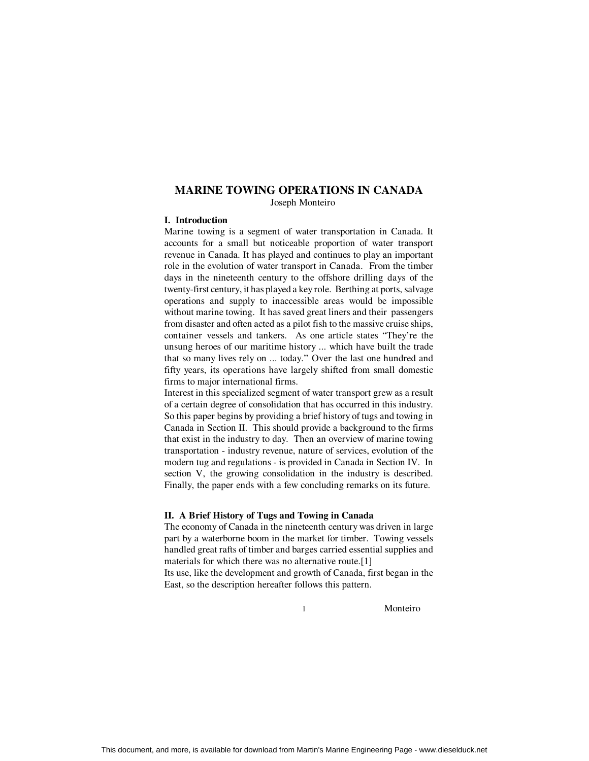## **MARINE TOWING OPERATIONS IN CANADA**

Joseph Monteiro

### **I. Introduction**

Marine towing is a segment of water transportation in Canada. It accounts for a small but noticeable proportion of water transport revenue in Canada. It has played and continues to play an important role in the evolution of water transport in Canada. From the timber days in the nineteenth century to the offshore drilling days of the twenty-first century, it has played a key role. Berthing at ports, salvage operations and supply to inaccessible areas would be impossible without marine towing. It has saved great liners and their passengers from disaster and often acted as a pilot fish to the massive cruise ships, container vessels and tankers. As one article states "They're the unsung heroes of our maritime history ... which have built the trade that so many lives rely on ... today." Over the last one hundred and fifty years, its operations have largely shifted from small domestic firms to major international firms.

Interest in this specialized segment of water transport grew as a result of a certain degree of consolidation that has occurred in this industry. So this paper begins by providing a brief history of tugs and towing in Canada in Section II. This should provide a background to the firms that exist in the industry to day. Then an overview of marine towing transportation - industry revenue, nature of services, evolution of the modern tug and regulations - is provided in Canada in Section IV. In section V, the growing consolidation in the industry is described. Finally, the paper ends with a few concluding remarks on its future.

#### **II. A Brief History of Tugs and Towing in Canada**

The economy of Canada in the nineteenth century was driven in large part by a waterborne boom in the market for timber. Towing vessels handled great rafts of timber and barges carried essential supplies and materials for which there was no alternative route.[1] Its use, like the development and growth of Canada, first began in the East, so the description hereafter follows this pattern.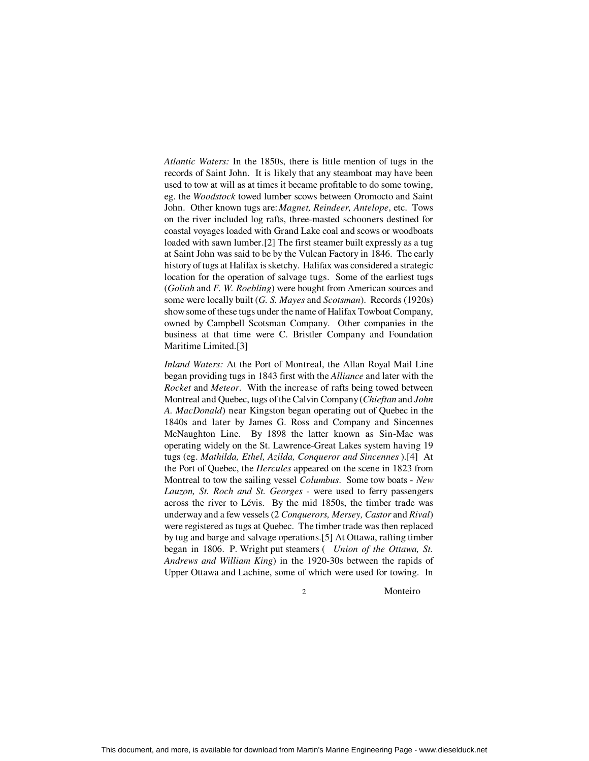*Atlantic Waters:* In the 1850s, there is little mention of tugs in the records of Saint John. It is likely that any steamboat may have been used to tow at will as at times it became profitable to do some towing, eg. the *Woodstock* towed lumber scows between Oromocto and Saint John. Other known tugs are: *Magnet, Reindeer, Antelope*, etc. Tows on the river included log rafts, three-masted schooners destined for coastal voyages loaded with Grand Lake coal and scows or woodboats loaded with sawn lumber.[2] The first steamer built expressly as a tug at Saint John was said to be by the Vulcan Factory in 1846. The early history of tugs at Halifax is sketchy. Halifax was considered a strategic location for the operation of salvage tugs. Some of the earliest tugs (*Goliah* and *F. W. Roebling*) were bought from American sources and some were locally built (*G. S. Mayes* and *Scotsman*). Records (1920s) show some of these tugs under the name of Halifax Towboat Company, owned by Campbell Scotsman Company. Other companies in the business at that time were C. Bristler Company and Foundation Maritime Limited.[3]

*Inland Waters:* At the Port of Montreal, the Allan Royal Mail Line began providing tugs in 1843 first with the *Alliance* and later with the *Rocket* and *Meteor*. With the increase of rafts being towed between Montreal and Quebec, tugs of the Calvin Company (*Chieftan* and *John A. MacDonald*) near Kingston began operating out of Quebec in the 1840s and later by James G. Ross and Company and Sincennes McNaughton Line. By 1898 the latter known as Sin-Mac was operating widely on the St. Lawrence-Great Lakes system having 19 tugs (eg. *Mathilda, Ethel, Azilda, Conqueror and Sincennes* ).[4] At the Port of Quebec, the *Hercules* appeared on the scene in 1823 from Montreal to tow the sailing vessel *Columbus*. Some tow boats - *New Lauzon, St. Roch and St. Georges* - were used to ferry passengers across the river to Lévis. By the mid 1850s, the timber trade was underway and a few vessels (2 *Conquerors, Mersey, Castor* and *Rival*) were registered as tugs at Quebec. The timber trade was then replaced by tug and barge and salvage operations.[5] At Ottawa, rafting timber began in 1806. P. Wright put steamers ( *Union of the Ottawa, St. Andrews and William King*) in the 1920-30s between the rapids of Upper Ottawa and Lachine, some of which were used for towing. In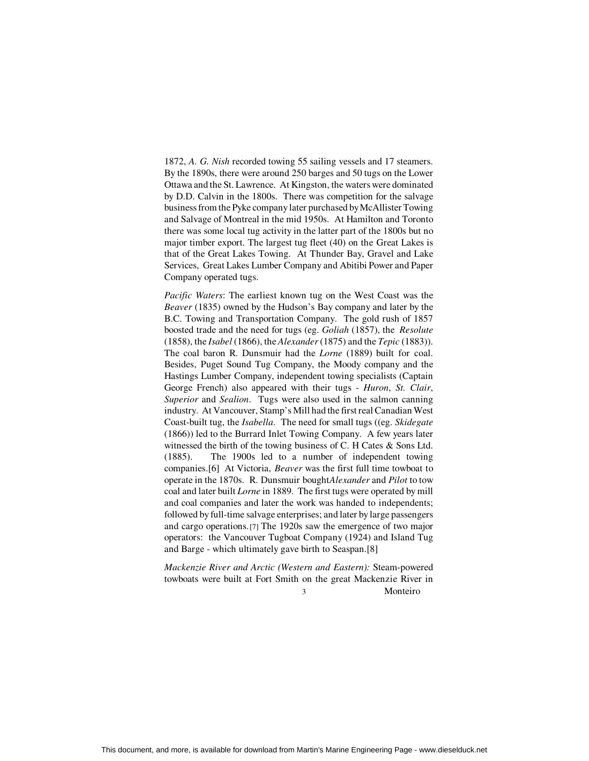1872, *A. G. Nish* recorded towing 55 sailing vessels and 17 steamers. By the 1890s, there were around 250 barges and 50 tugs on the Lower Ottawa and the St. Lawrence. At Kingston, the waters were dominated by D.D. Calvin in the 1800s. There was competition for the salvage business from the Pyke company later purchased by McAllister Towing and Salvage of Montreal in the mid 1950s. At Hamilton and Toronto there was some local tug activity in the latter part of the 1800s but no major timber export. The largest tug fleet (40) on the Great Lakes is that of the Great Lakes Towing. At Thunder Bay, Gravel and Lake Services, Great Lakes Lumber Company and Abitibi Power and Paper Company operated tugs.

*Pacific Waters*: The earliest known tug on the West Coast was the *Beaver* (1835) owned by the Hudson's Bay company and later by the B.C. Towing and Transportation Company. The gold rush of 1857 boosted trade and the need for tugs (eg. *Goliah* (1857), the *Resolute* (1858), the *Isabel* (1866), the *Alexander* (1875) and the *Tepic* (1883)). The coal baron R. Dunsmuir had the *Lorne* (1889) built for coal. Besides, Puget Sound Tug Company, the Moody company and the Hastings Lumber Company, independent towing specialists (Captain George French) also appeared with their tugs - *Huron*, *St. Clair*, *Superior* and *Sealion*. Tugs were also used in the salmon canning industry. At Vancouver, Stamp's Mill had the first real Canadian West Coast-built tug, the *Isabella*. The need for small tugs ((eg. *Skidegate* (1866)) led to the Burrard Inlet Towing Company. A few years later witnessed the birth of the towing business of C. H Cates & Sons Ltd. (1885). The 1900s led to a number of independent towing companies.[6] At Victoria, *Beaver* was the first full time towboat to operate in the 1870s. R. Dunsmuir bought *Alexander* and *Pilot* to tow coal and later built *Lorne* in 1889. The first tugs were operated by mill and coal companies and later the work was handed to independents; followed by full-time salvage enterprises; and later by large passengers and cargo operations.[7] The 1920s saw the emergence of two major operators: the Vancouver Tugboat Company (1924) and Island Tug and Barge - which ultimately gave birth to Seaspan.[8]

*Mackenzie River and Arctic (Western and Eastern):* Steam-powered towboats were built at Fort Smith on the great Mackenzie River in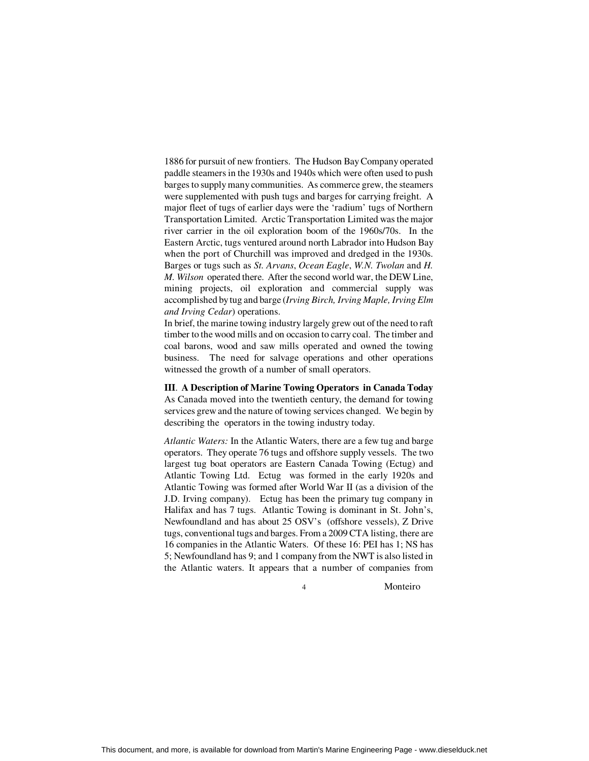1886 for pursuit of new frontiers. The Hudson Bay Company operated paddle steamers in the 1930s and 1940s which were often used to push barges to supply many communities. As commerce grew, the steamers were supplemented with push tugs and barges for carrying freight. A major fleet of tugs of earlier days were the 'radium' tugs of Northern Transportation Limited. Arctic Transportation Limited was the major river carrier in the oil exploration boom of the 1960s/70s. In the Eastern Arctic, tugs ventured around north Labrador into Hudson Bay when the port of Churchill was improved and dredged in the 1930s. Barges or tugs such as *St. Arvans*, *Ocean Eagle*, *W.N. Twolan* and *H. M. Wilson* operated there. After the second world war, the DEW Line, mining projects, oil exploration and commercial supply was accomplished by tug and barge (*Irving Birch, Irving Maple, Irving Elm and Irving Cedar*) operations.

In brief, the marine towing industry largely grew out of the need to raft timber to the wood mills and on occasion to carry coal. The timber and coal barons, wood and saw mills operated and owned the towing business. The need for salvage operations and other operations witnessed the growth of a number of small operators.

# **III**. **A Description of Marine Towing Operators in Canada Today**

As Canada moved into the twentieth century, the demand for towing services grew and the nature of towing services changed. We begin by describing the operators in the towing industry today.

*Atlantic Waters:* In the Atlantic Waters, there are a few tug and barge operators. They operate 76 tugs and offshore supply vessels. The two largest tug boat operators are Eastern Canada Towing (Ectug) and Atlantic Towing Ltd. Ectug was formed in the early 1920s and Atlantic Towing was formed after World War II (as a division of the J.D. Irving company). Ectug has been the primary tug company in Halifax and has 7 tugs. Atlantic Towing is dominant in St. John's, Newfoundland and has about 25 OSV's (offshore vessels), Z Drive tugs, conventional tugs and barges. From a 2009 CTA listing, there are 16 companies in the Atlantic Waters. Of these 16: PEI has 1; NS has 5; Newfoundland has 9; and 1 company from the NWT is also listed in the Atlantic waters. It appears that a number of companies from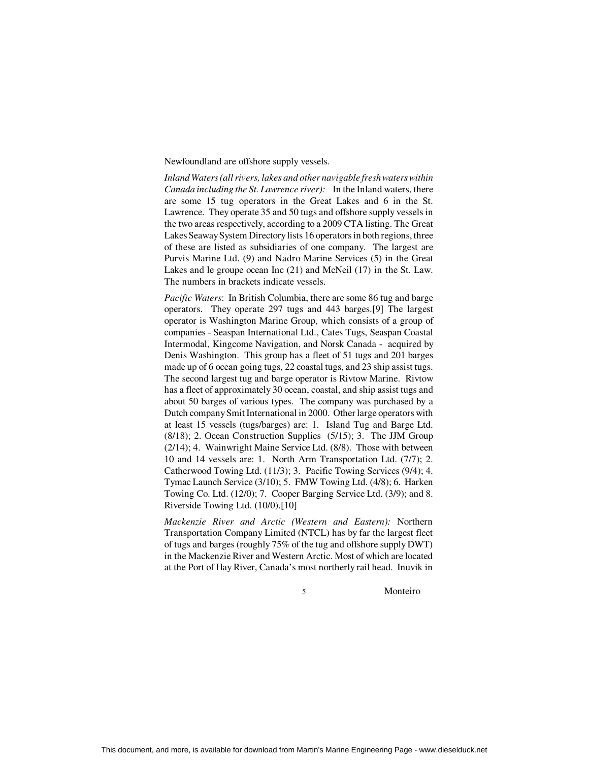Newfoundland are offshore supply vessels.

*Inland Waters (all rivers, lakes and other navigable fresh waters within Canada including the St. Lawrence river):* In the Inland waters, there are some 15 tug operators in the Great Lakes and 6 in the St. Lawrence. They operate 35 and 50 tugs and offshore supply vessels in the two areas respectively, according to a 2009 CTA listing. The Great Lakes Seaway System Directory lists 16 operators in both regions, three of these are listed as subsidiaries of one company. The largest are Purvis Marine Ltd. (9) and Nadro Marine Services (5) in the Great Lakes and le groupe ocean Inc (21) and McNeil (17) in the St. Law. The numbers in brackets indicate vessels.

*Pacific Waters*: In British Columbia, there are some 86 tug and barge operators. They operate 297 tugs and 443 barges.[9] The largest operator is Washington Marine Group, which consists of a group of companies - Seaspan International Ltd., Cates Tugs, Seaspan Coastal Intermodal, Kingcome Navigation, and Norsk Canada - acquired by Denis Washington. This group has a fleet of 51 tugs and 201 barges made up of 6 ocean going tugs, 22 coastal tugs, and 23 ship assist tugs. The second largest tug and barge operator is Rivtow Marine. Rivtow has a fleet of approximately 30 ocean, coastal, and ship assist tugs and about 50 barges of various types. The company was purchased by a Dutch company Smit International in 2000. Other large operators with at least 15 vessels (tugs/barges) are: 1. Island Tug and Barge Ltd. (8/18); 2. Ocean Construction Supplies (5/15); 3. The JJM Group (2/14); 4. Wainwright Maine Service Ltd. (8/8). Those with between 10 and 14 vessels are: 1. North Arm Transportation Ltd. (7/7); 2. Catherwood Towing Ltd. (11/3); 3. Pacific Towing Services (9/4); 4. Tymac Launch Service (3/10); 5. FMW Towing Ltd. (4/8); 6. Harken Towing Co. Ltd. (12/0); 7. Cooper Barging Service Ltd. (3/9); and 8. Riverside Towing Ltd. (10/0).[10]

*Mackenzie River and Arctic (Western and Eastern):* Northern Transportation Company Limited (NTCL) has by far the largest fleet of tugs and barges (roughly 75% of the tug and offshore supply DWT) in the Mackenzie River and Western Arctic. Most of which are located at the Port of Hay River, Canada's most northerly rail head. Inuvik in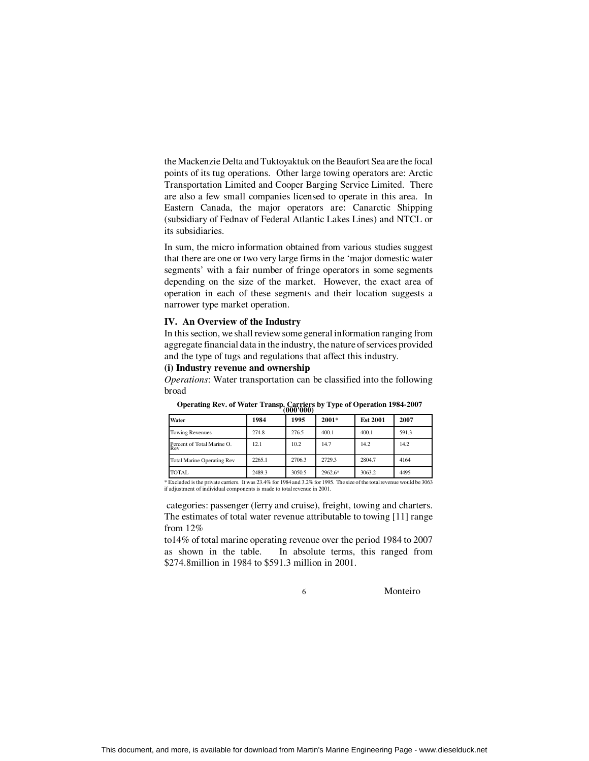the Mackenzie Delta and Tuktoyaktuk on the Beaufort Sea are the focal points of its tug operations. Other large towing operators are: Arctic Transportation Limited and Cooper Barging Service Limited. There are also a few small companies licensed to operate in this area. In Eastern Canada, the major operators are: Canarctic Shipping (subsidiary of Fednav of Federal Atlantic Lakes Lines) and NTCL or its subsidiaries.

In sum, the micro information obtained from various studies suggest that there are one or two very large firms in the 'major domestic water segments' with a fair number of fringe operators in some segments depending on the size of the market. However, the exact area of operation in each of these segments and their location suggests a narrower type market operation.

#### **IV. An Overview of the Industry**

In this section, we shall review some general information ranging from aggregate financial data in the industry, the nature of services provided and the type of tugs and regulations that affect this industry.

#### **(i) Industry revenue and ownership**

*Operations*: Water transportation can be classified into the following broad

| Water                                    | 1984   | 1995   | $2001*$ | <b>Est 2001</b> | 2007  |
|------------------------------------------|--------|--------|---------|-----------------|-------|
| <b>Towing Revenues</b>                   | 274.8  | 276.5  | 400.1   | 400.1           | 591.3 |
| Percent of Total Marine O.<br><b>Rev</b> | 12.1   | 10.2   | 14.7    | 14.2            | 14.2  |
| <b>Total Marine Operating Rev</b>        | 2265.1 | 2706.3 | 2729.3  | 2804.7          | 4164  |
| <b>TOTAL</b>                             | 2489.3 | 3050.5 | 2962.6* | 3063.2          | 4495  |

**Operating Rev. of Water Transp. Carriers by Type of Operation 1984-2007 (000'000)**

\* Excluded is the private carriers. It was 23.4% for 1984 and 3.2% for 1995. The size of the total revenue would be 3063 if adjustment of individual components is made to total revenue in 2001.

 categories: passenger (ferry and cruise), freight, towing and charters. The estimates of total water revenue attributable to towing [11] range from 12%

to14% of total marine operating revenue over the period 1984 to 2007 as shown in the table. In absolute terms, this ranged from \$274.8million in 1984 to \$591.3 million in 2001.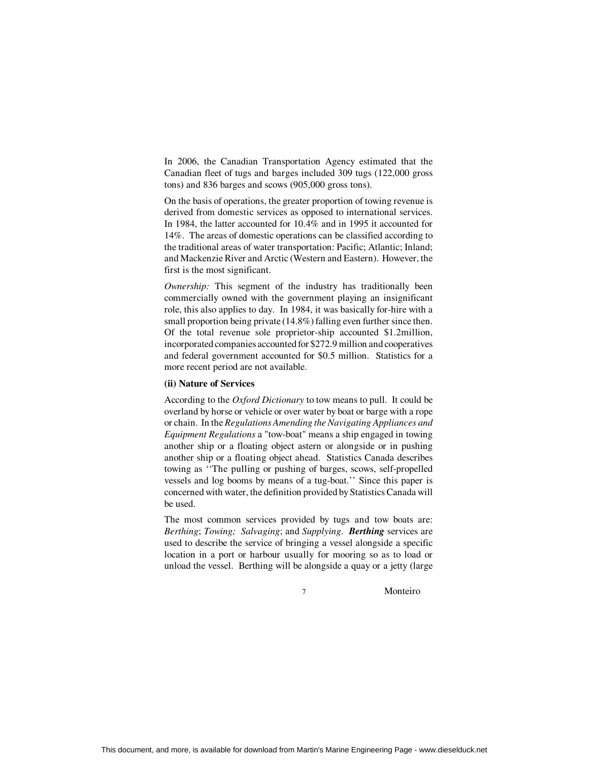In 2006, the Canadian Transportation Agency estimated that the Canadian fleet of tugs and barges included 309 tugs (122,000 gross tons) and 836 barges and scows (905,000 gross tons).

On the basis of operations, the greater proportion of towing revenue is derived from domestic services as opposed to international services. In 1984, the latter accounted for 10.4% and in 1995 it accounted for 14%. The areas of domestic operations can be classified according to the traditional areas of water transportation: Pacific; Atlantic; Inland; and Mackenzie River and Arctic (Western and Eastern). However, the first is the most significant.

*Ownership:* This segment of the industry has traditionally been commercially owned with the government playing an insignificant role, this also applies to day. In 1984, it was basically for-hire with a small proportion being private (14.8%) falling even further since then. Of the total revenue sole proprietor-ship accounted \$1.2million, incorporated companies accounted for \$272.9 million and cooperatives and federal government accounted for \$0.5 million. Statistics for a more recent period are not available.

### **(ii) Nature of Services**

According to the *Oxford Dictionary* to tow means to pull. It could be overland by horse or vehicle or over water by boat or barge with a rope or chain. In the *Regulations Amending the Navigating Appliances and Equipment Regulations* a "tow-boat" means a ship engaged in towing another ship or a floating object astern or alongside or in pushing another ship or a floating object ahead. Statistics Canada describes towing as ''The pulling or pushing of barges, scows, self-propelled vessels and log booms by means of a tug-boat.'' Since this paper is concerned with water, the definition provided by Statistics Canada will be used.

The most common services provided by tugs and tow boats are: *Berthing*; *Towing; Salvaging*; and *Supplying*. *Berthing* services are used to describe the service of bringing a vessel alongside a specific location in a port or harbour usually for mooring so as to load or unload the vessel. Berthing will be alongside a quay or a jetty (large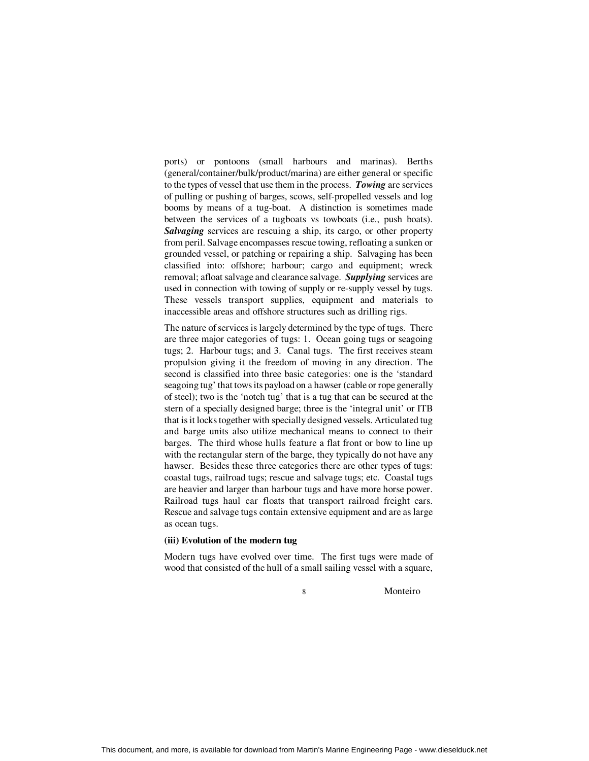ports) or pontoons (small harbours and marinas). Berths (general/container/bulk/product/marina) are either general or specific to the types of vessel that use them in the process. *Towing* are services of pulling or pushing of barges, scows, self-propelled vessels and log booms by means of a tug-boat. A distinction is sometimes made between the services of a tugboats vs towboats (i.e., push boats). *Salvaging* services are rescuing a ship, its cargo, or other property from peril. Salvage encompasses rescue towing, refloating a sunken or grounded vessel, or patching or repairing a ship. Salvaging has been classified into: offshore; harbour; cargo and equipment; wreck removal; afloat salvage and clearance salvage. *Supplying* services are used in connection with towing of supply or re-supply vessel by tugs. These vessels transport supplies, equipment and materials to inaccessible areas and offshore structures such as drilling rigs.

The nature of services is largely determined by the type of tugs. There are three major categories of tugs: 1. Ocean going tugs or seagoing tugs; 2. Harbour tugs; and 3. Canal tugs. The first receives steam propulsion giving it the freedom of moving in any direction. The second is classified into three basic categories: one is the 'standard seagoing tug' that tows its payload on a hawser (cable or rope generally of steel); two is the 'notch tug' that is a tug that can be secured at the stern of a specially designed barge; three is the 'integral unit' or ITB that is it locks together with specially designed vessels. Articulated tug and barge units also utilize mechanical means to connect to their barges. The third whose hulls feature a flat front or bow to line up with the rectangular stern of the barge, they typically do not have any hawser. Besides these three categories there are other types of tugs: coastal tugs, railroad tugs; rescue and salvage tugs; etc. Coastal tugs are heavier and larger than harbour tugs and have more horse power. Railroad tugs haul car floats that transport railroad freight cars. Rescue and salvage tugs contain extensive equipment and are as large as ocean tugs.

#### **(iii) Evolution of the modern tug**

Modern tugs have evolved over time. The first tugs were made of wood that consisted of the hull of a small sailing vessel with a square,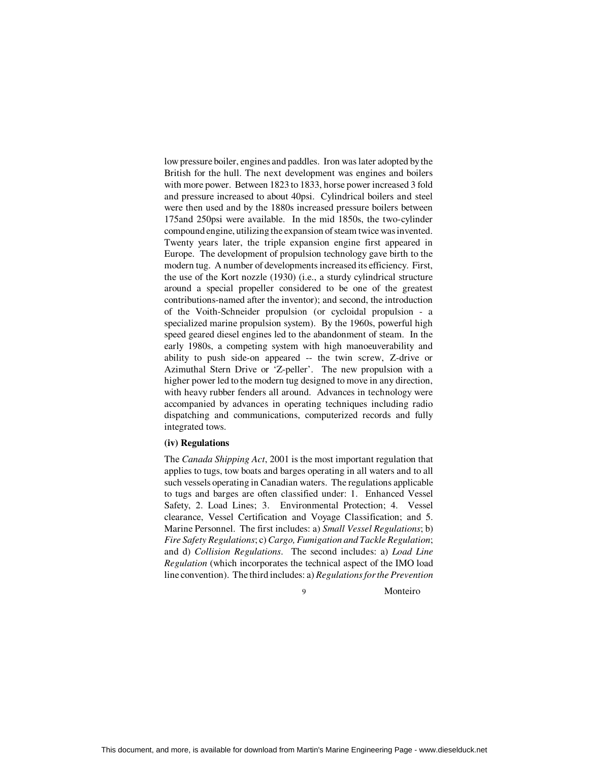low pressure boiler, engines and paddles. Iron was later adopted by the British for the hull. The next development was engines and boilers with more power. Between 1823 to 1833, horse power increased 3 fold and pressure increased to about 40psi. Cylindrical boilers and steel were then used and by the 1880s increased pressure boilers between 175and 250psi were available. In the mid 1850s, the two-cylinder compound engine, utilizing the expansion of steam twice was invented. Twenty years later, the triple expansion engine first appeared in Europe. The development of propulsion technology gave birth to the modern tug. A number of developments increased its efficiency. First, the use of the Kort nozzle (1930) (i.e., a sturdy cylindrical structure around a special propeller considered to be one of the greatest contributions-named after the inventor); and second, the introduction of the Voith-Schneider propulsion (or cycloidal propulsion - a specialized marine propulsion system). By the 1960s, powerful high speed geared diesel engines led to the abandonment of steam. In the early 1980s, a competing system with high manoeuverability and ability to push side-on appeared -- the twin screw, Z-drive or Azimuthal Stern Drive or 'Z-peller'. The new propulsion with a higher power led to the modern tug designed to move in any direction, with heavy rubber fenders all around. Advances in technology were accompanied by advances in operating techniques including radio dispatching and communications, computerized records and fully integrated tows.

### **(iv) Regulations**

The *Canada Shipping Act*, 2001 is the most important regulation that applies to tugs, tow boats and barges operating in all waters and to all such vessels operating in Canadian waters. The regulations applicable to tugs and barges are often classified under: 1. Enhanced Vessel Safety, 2. Load Lines; 3. Environmental Protection; 4. Vessel clearance, Vessel Certification and Voyage Classification; and 5. Marine Personnel. The first includes: a) *Small Vessel Regulations*; b) *Fire Safety Regulations*; c) *Cargo, Fumigation and Tackle Regulation*; and d) *Collision Regulations*. The second includes: a) *Load Line Regulation* (which incorporates the technical aspect of the IMO load line convention). The third includes: a) *Regulations for the Prevention*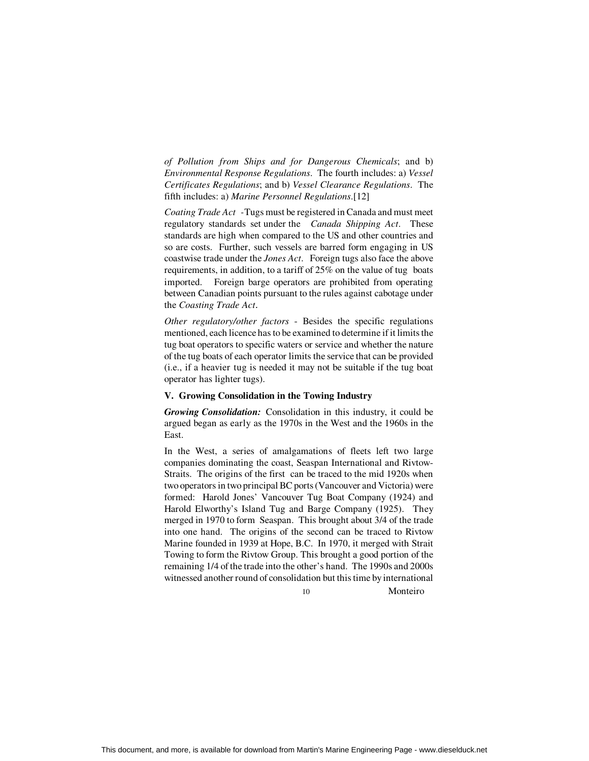*of Pollution from Ships and for Dangerous Chemicals*; and b) *Environmental Response Regulations*. The fourth includes: a) *Vessel Certificates Regulations*; and b) *Vessel Clearance Regulations*. The fifth includes: a) *Marine Personnel Regulations*.[12]

*Coating Trade Act -* Tugs must be registered in Canada and must meet regulatory standards set under the *Canada Shipping Act*. These standards are high when compared to the US and other countries and so are costs. Further, such vessels are barred form engaging in US coastwise trade under the *Jones Act*. Foreign tugs also face the above requirements, in addition, to a tariff of 25% on the value of tug boats imported. Foreign barge operators are prohibited from operating between Canadian points pursuant to the rules against cabotage under the *Coasting Trade Act*.

*Other regulatory/other factors* - Besides the specific regulations mentioned, each licence has to be examined to determine if it limits the tug boat operators to specific waters or service and whether the nature of the tug boats of each operator limits the service that can be provided (i.e., if a heavier tug is needed it may not be suitable if the tug boat operator has lighter tugs).

### **V. Growing Consolidation in the Towing Industry**

*Growing Consolidation:* Consolidation in this industry, it could be argued began as early as the 1970s in the West and the 1960s in the East.

In the West, a series of amalgamations of fleets left two large companies dominating the coast, Seaspan International and Rivtow-Straits. The origins of the first can be traced to the mid 1920s when two operators in two principal BC ports (Vancouver and Victoria) were formed: Harold Jones' Vancouver Tug Boat Company (1924) and Harold Elworthy's Island Tug and Barge Company (1925). They merged in 1970 to form Seaspan. This brought about 3/4 of the trade into one hand. The origins of the second can be traced to Rivtow Marine founded in 1939 at Hope, B.C. In 1970, it merged with Strait Towing to form the Rivtow Group. This brought a good portion of the remaining 1/4 of the trade into the other's hand. The 1990s and 2000s witnessed another round of consolidation but this time by international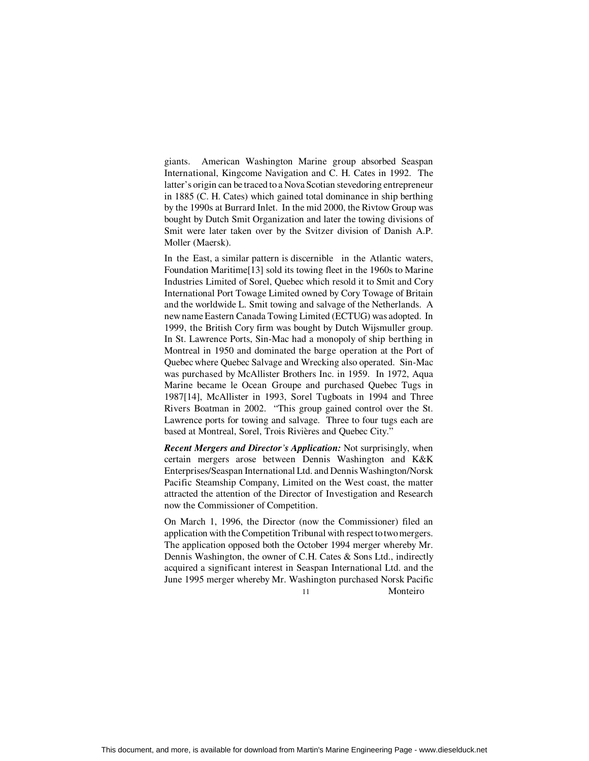giants. American Washington Marine group absorbed Seaspan International, Kingcome Navigation and C. H. Cates in 1992. The latter's origin can be traced to a Nova Scotian stevedoring entrepreneur in 1885 (C. H. Cates) which gained total dominance in ship berthing by the 1990s at Burrard Inlet. In the mid 2000, the Rivtow Group was bought by Dutch Smit Organization and later the towing divisions of Smit were later taken over by the Svitzer division of Danish A.P. Moller (Maersk).

In the East, a similar pattern is discernible in the Atlantic waters, Foundation Maritime[13] sold its towing fleet in the 1960s to Marine Industries Limited of Sorel, Quebec which resold it to Smit and Cory International Port Towage Limited owned by Cory Towage of Britain and the worldwide L. Smit towing and salvage of the Netherlands. A new name Eastern Canada Towing Limited (ECTUG) was adopted. In 1999, the British Cory firm was bought by Dutch Wijsmuller group. In St. Lawrence Ports, Sin-Mac had a monopoly of ship berthing in Montreal in 1950 and dominated the barge operation at the Port of Quebec where Quebec Salvage and Wrecking also operated. Sin-Mac was purchased by McAllister Brothers Inc. in 1959. In 1972, Aqua Marine became le Ocean Groupe and purchased Quebec Tugs in 1987[14], McAllister in 1993, Sorel Tugboats in 1994 and Three Rivers Boatman in 2002. "This group gained control over the St. Lawrence ports for towing and salvage. Three to four tugs each are based at Montreal, Sorel, Trois Rivières and Quebec City."

*Recent Mergers and Director's Application:* Not surprisingly, when certain mergers arose between Dennis Washington and K&K Enterprises/Seaspan International Ltd. and Dennis Washington/Norsk Pacific Steamship Company, Limited on the West coast, the matter attracted the attention of the Director of Investigation and Research now the Commissioner of Competition.

 11 Monteiro On March 1, 1996, the Director (now the Commissioner) filed an application with the Competition Tribunal with respect to two mergers. The application opposed both the October 1994 merger whereby Mr. Dennis Washington, the owner of C.H. Cates & Sons Ltd., indirectly acquired a significant interest in Seaspan International Ltd. and the June 1995 merger whereby Mr. Washington purchased Norsk Pacific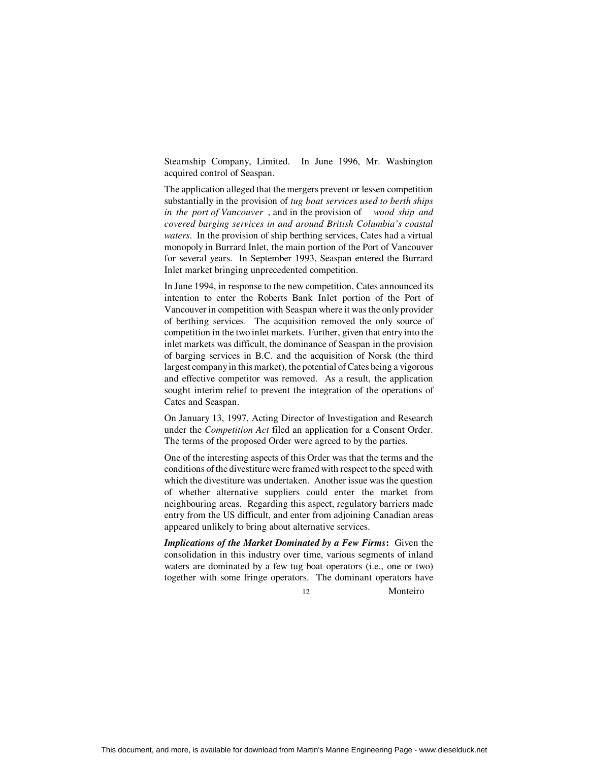Steamship Company, Limited. In June 1996, Mr. Washington acquired control of Seaspan.

The application alleged that the mergers prevent or lessen competition substantially in the provision of *tug boat services used to berth ships in the port of Vancouver* , and in the provision of *wood ship and covered barging services in and around British Columbia's coastal waters*. In the provision of ship berthing services, Cates had a virtual monopoly in Burrard Inlet, the main portion of the Port of Vancouver for several years. In September 1993, Seaspan entered the Burrard Inlet market bringing unprecedented competition.

In June 1994, in response to the new competition, Cates announced its intention to enter the Roberts Bank Inlet portion of the Port of Vancouver in competition with Seaspan where it was the only provider of berthing services. The acquisition removed the only source of competition in the two inlet markets. Further, given that entry into the inlet markets was difficult, the dominance of Seaspan in the provision of barging services in B.C. and the acquisition of Norsk (the third largest company in this market), the potential of Cates being a vigorous and effective competitor was removed. As a result, the application sought interim relief to prevent the integration of the operations of Cates and Seaspan.

On January 13, 1997, Acting Director of Investigation and Research under the *Competition Act* filed an application for a Consent Order. The terms of the proposed Order were agreed to by the parties.

One of the interesting aspects of this Order was that the terms and the conditions of the divestiture were framed with respect to the speed with which the divestiture was undertaken. Another issue was the question of whether alternative suppliers could enter the market from neighbouring areas. Regarding this aspect, regulatory barriers made entry from the US difficult, and enter from adjoining Canadian areas appeared unlikely to bring about alternative services.

*Implications of the Market Dominated by a Few Firms***:** Given the consolidation in this industry over time, various segments of inland waters are dominated by a few tug boat operators (i.e., one or two) together with some fringe operators. The dominant operators have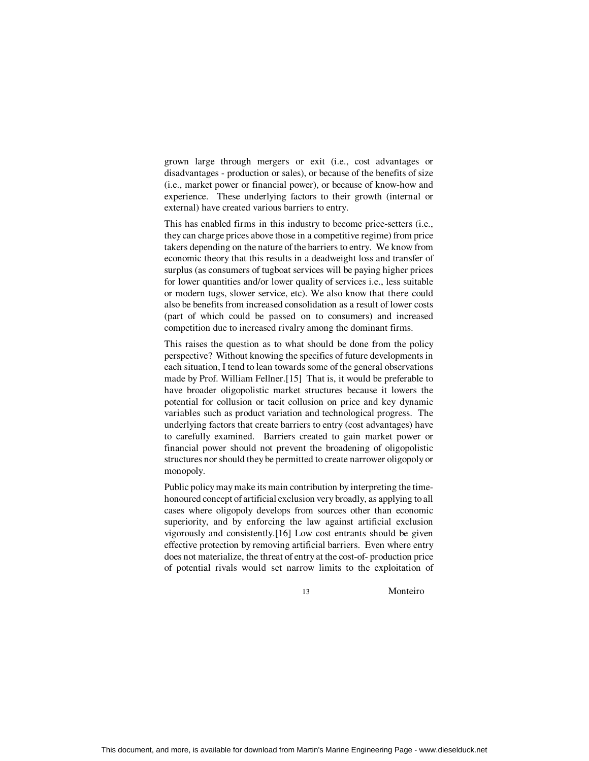grown large through mergers or exit (i.e., cost advantages or disadvantages - production or sales), or because of the benefits of size (i.e., market power or financial power), or because of know-how and experience. These underlying factors to their growth (internal or external) have created various barriers to entry.

This has enabled firms in this industry to become price-setters (i.e., they can charge prices above those in a competitive regime) from price takers depending on the nature of the barriers to entry. We know from economic theory that this results in a deadweight loss and transfer of surplus (as consumers of tugboat services will be paying higher prices for lower quantities and/or lower quality of services i.e., less suitable or modern tugs, slower service, etc). We also know that there could also be benefits from increased consolidation as a result of lower costs (part of which could be passed on to consumers) and increased competition due to increased rivalry among the dominant firms.

This raises the question as to what should be done from the policy perspective? Without knowing the specifics of future developments in each situation, I tend to lean towards some of the general observations made by Prof. William Fellner.[15] That is, it would be preferable to have broader oligopolistic market structures because it lowers the potential for collusion or tacit collusion on price and key dynamic variables such as product variation and technological progress. The underlying factors that create barriers to entry (cost advantages) have to carefully examined. Barriers created to gain market power or financial power should not prevent the broadening of oligopolistic structures nor should they be permitted to create narrower oligopoly or monopoly.

Public policy may make its main contribution by interpreting the timehonoured concept of artificial exclusion very broadly, as applying to all cases where oligopoly develops from sources other than economic superiority, and by enforcing the law against artificial exclusion vigorously and consistently.[16] Low cost entrants should be given effective protection by removing artificial barriers. Even where entry does not materialize, the threat of entry at the cost-of- production price of potential rivals would set narrow limits to the exploitation of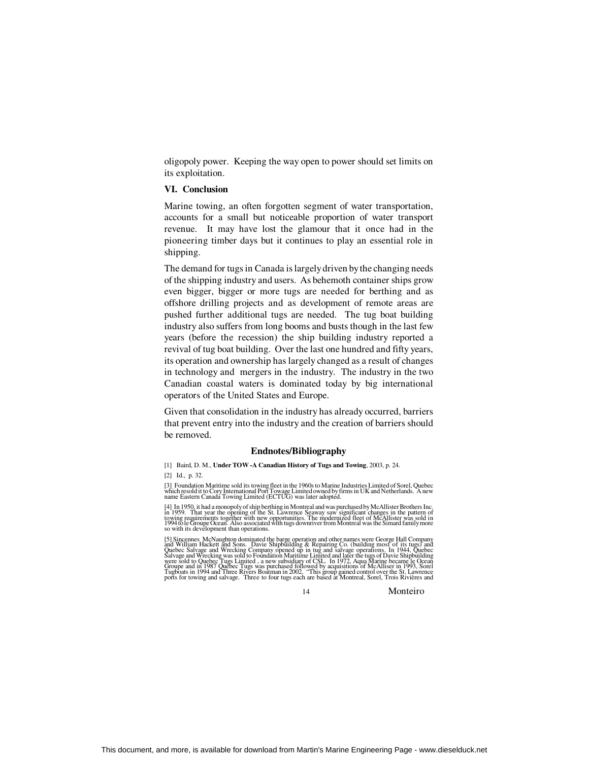oligopoly power. Keeping the way open to power should set limits on its exploitation.

### **VI. Conclusion**

Marine towing, an often forgotten segment of water transportation, accounts for a small but noticeable proportion of water transport revenue. It may have lost the glamour that it once had in the pioneering timber days but it continues to play an essential role in shipping.

The demand for tugs in Canada is largely driven by the changing needs of the shipping industry and users. As behemoth container ships grow even bigger, bigger or more tugs are needed for berthing and as offshore drilling projects and as development of remote areas are pushed further additional tugs are needed. The tug boat building industry also suffers from long booms and busts though in the last few years (before the recession) the ship building industry reported a revival of tug boat building. Over the last one hundred and fifty years, its operation and ownership has largely changed as a result of changes in technology and mergers in the industry. The industry in the two Canadian coastal waters is dominated today by big international operators of the United States and Europe.

Given that consolidation in the industry has already occurred, barriers that prevent entry into the industry and the creation of barriers should be removed.

#### **Endnotes/Bibliography**

[3] Foundation Maritime sold its towing fleet in the 1960s to Marine Industries Limited of Sorel, Quebec<br>which resold it to Cory International Port Towage Limited owned by firms in UK and Netherlands. A new<br>name Eastern Ca

[4] In 1950, it had a monopoly of ship berthing in Montreal and was purchased by McAllister Brothers Inc.<br>in 1959. That year the opening of the St. Lawrence Seaway saw significant changes in the pattern of<br>towing requireme so with its development than operations.

[5] Sincennes McNaughton dominated the barge operation and other names were George Hall Company<br>and William Hackett and Sons. Davie Shipbuliding & Repairing Co. (building most of its tugs) and<br>Quebec Salvage and Wrecking C

<sup>[1]</sup> Baird, D. M., **Under TOW -A Canadian History of Tugs and Towing**, 2003, p. 24. [2] Id., p. 32.